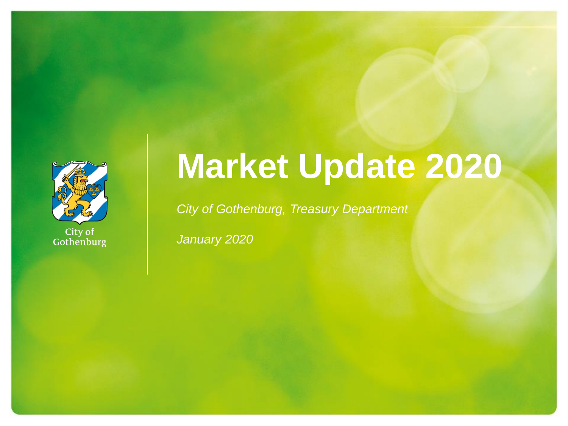

City of<br>Gothenburg

# **Market Update 2020**

*City of Gothenburg, Treasury Department*

*January 2020*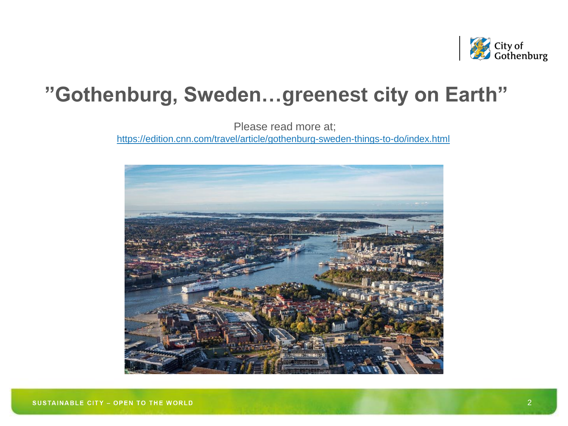

## **"Gothenburg, Sweden…greenest city on Earth"**

Please read more at;

<https://edition.cnn.com/travel/article/gothenburg-sweden-things-to-do/index.html>

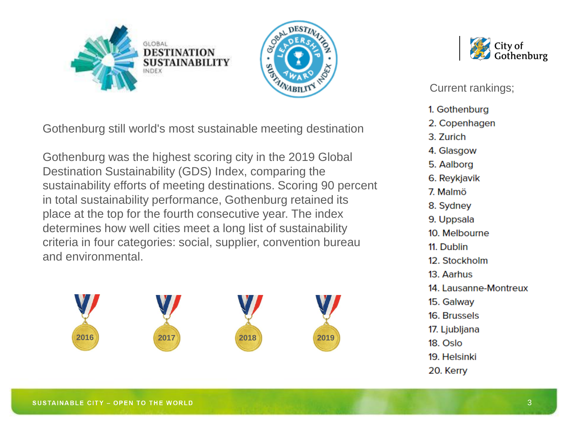



Gothenburg still world's most sustainable meeting destination

Gothenburg was the highest scoring city in the 2019 Global Destination Sustainability (GDS) Index, comparing the sustainability efforts of meeting destinations. Scoring 90 percent in total sustainability performance, Gothenburg retained its place at the top for the fourth consecutive year. The index determines how well cities meet a long list of sustainability criteria in four categories: social, supplier, convention bureau and environmental.





Current rankings;

- 1. Gothenburg
- 2. Copenhagen
- 3. Zurich
- 4. Glasgow
- 5. Aalborg
- 6. Reykjavik
- 7. Malmö
- 8. Sydney
- 9. Uppsala
- 10. Melbourne
- 11. Dublin
- 12. Stockholm
- 13. Aarhus
- 14. Lausanne-Montreux
- 15. Galway
- 16. Brussels
- 17. Ljubljana
- 18. Oslo
- 19. Helsinki
- 20. Kerry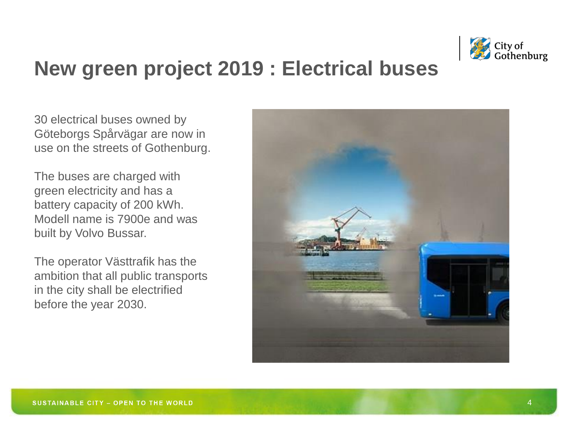

## **New green project 2019 : Electrical buses**

30 electrical buses owned by Göteborgs Spårvägar are now in use on the streets of Gothenburg.

The buses are charged with green electricity and has a battery capacity of 200 kWh. Modell name is 7900e and was built by Volvo Bussar.

The operator Västtrafik has the ambition that all public transports in the city shall be electrified before the year 2030.

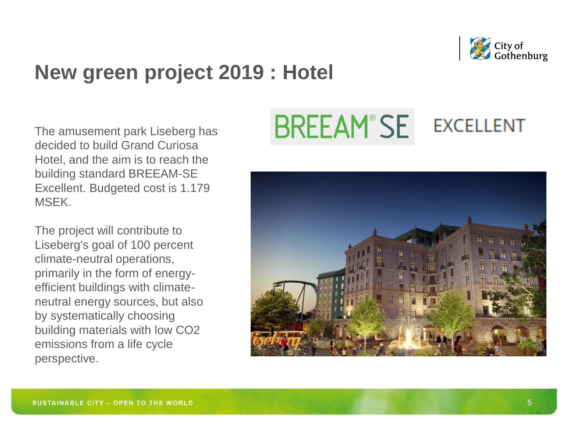

## **New green project 2019 : Hotel**

The amusement park Liseberg has decided to build Grand Curiosa Hotel, and the aim is to reach the building standard BREEAM-SE Excellent. Budgeted cost is 1.179 MSEK.

The project will contribute to Liseberg's goal of 100 percent climate-neutral operations, primarily in the form of energyefficient buildings with climateneutral energy sources, but also by systematically choosing building materials with low CO2 emissions from a life cycle perspective.

### **BREEAM®SE EXCELLENT**

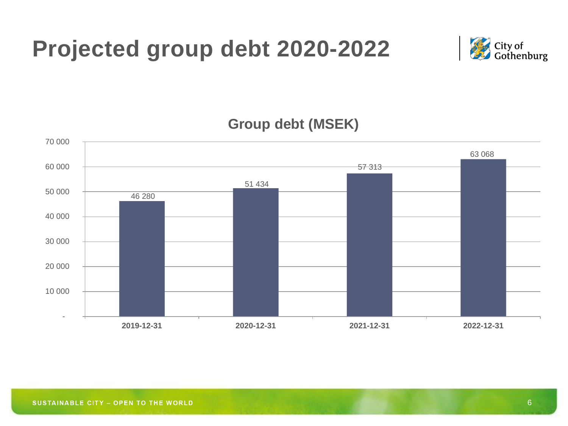



**Group debt (MSEK)**

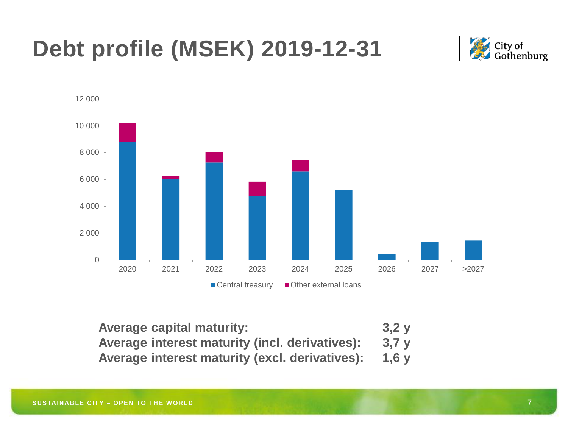## **Debt profile (MSEK) 2019-12-31**





| <b>Average capital maturity:</b>                     | 3,2y |
|------------------------------------------------------|------|
| Average interest maturity (incl. derivatives):       | 3,7y |
| Average interest maturity (excl. derivatives): 1,6 y |      |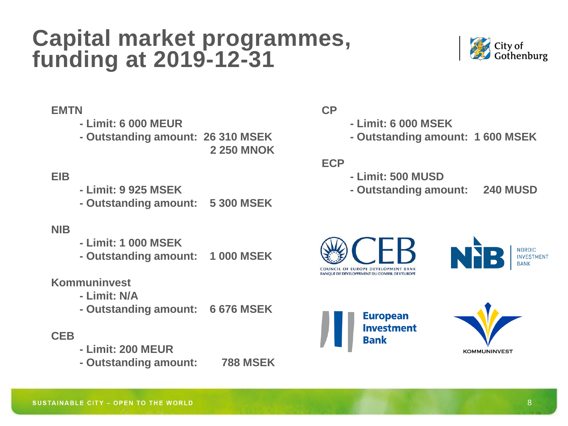## **Capital market programmes, funding at 2019-12-31**



#### **EMTN**

**- Limit: 6 000 MEUR**

**- Outstanding amount: 26 310 MSEK**

**2 250 MNOK**

### **EIB**

- **- Limit: 9 925 MSEK**
- **- Outstanding amount: 5 300 MSEK**

#### **NIB**

- **- Limit: 1 000 MSEK**
- **- Outstanding amount: 1 000 MSEK**

#### **Kommuninvest**

- **- Limit: N/A**
- **- Outstanding amount: 6 676 MSEK**

#### **CEB**

- **- Limit: 200 MEUR**
- **- Outstanding amount: 788 MSEK**

#### **CP**

- **- Limit: 6 000 MSEK**
- **- Outstanding amount: 1 600 MSEK**

#### **ECP**

- **- Limit: 500 MUSD**
- **- Outstanding amount: 240 MUSD**







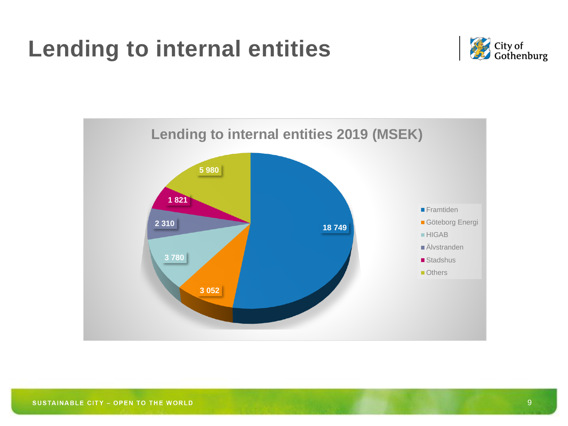## **Lending to internal entities**



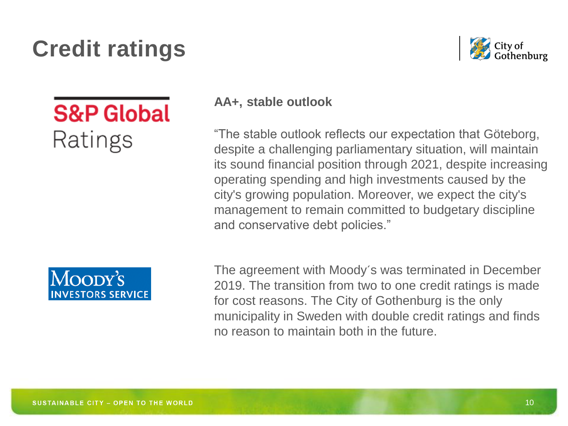## **Credit ratings**



## **S&P Global** Ratings



### **AA+, stable outlook**

"The stable outlook reflects our expectation that Göteborg, despite a challenging parliamentary situation, will maintain its sound financial position through 2021, despite increasing operating spending and high investments caused by the city's growing population. Moreover, we expect the city's management to remain committed to budgetary discipline and conservative debt policies."

The agreement with Moody´s was terminated in December 2019. The transition from two to one credit ratings is made for cost reasons. The City of Gothenburg is the only municipality in Sweden with double credit ratings and finds no reason to maintain both in the future.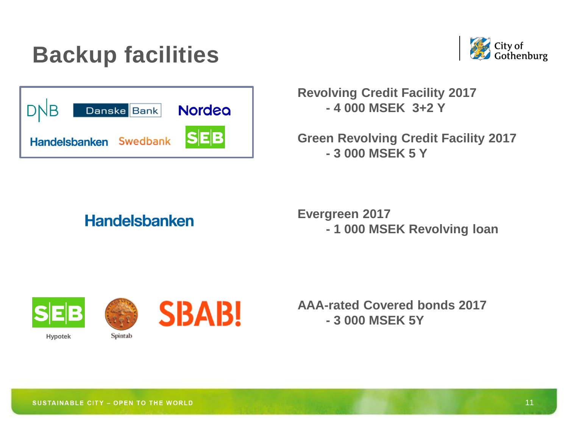## **Backup facilities**



| DNB                    | Danske Bank | <b>Nordea</b> |
|------------------------|-------------|---------------|
| Handelsbanken Swedbank |             | <b>SEB</b>    |

**Revolving Credit Facility 2017 - 4 000 MSEK 3+2 Y**

**Green Revolving Credit Facility 2017 - 3 000 MSEK 5 Y**

## **Handelsbanken**

**Evergreen 2017 - 1 000 MSEK Revolving loan**



**Hypotek**



Spintab



**AAA-rated Covered bonds 2017 - 3 000 MSEK 5Y**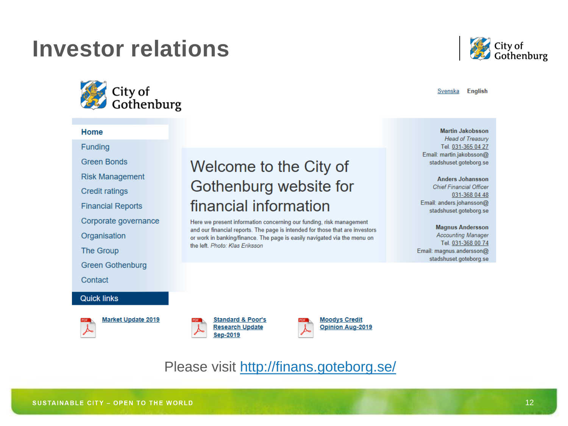## **Investor relations**



#### Home

Funding

**Green Bonds** 

**Risk Management** 

**Credit ratings** 

**Financial Reports** 

Corporate governance

Organisation

The Group

**Green Gothenburg** 

Contact

**Quick links** 

**Market Update 2019** 



Here we present information concerning our funding, risk management and our financial reports. The page is intended for those that are investors or work in banking/finance. The page is easily navigated via the menu on the left. Photo: Klas Eriksson



Svenska English

**Martin Jakobsson Head of Treasury** Tel. 031-365 04 27 Email: martin.jakobsson@ stadshuset.goteborg.se

**Anders Johansson Chief Financial Officer** 031-368 04 48 Email: anders.johansson@ stadshuset.goteborg.se

**Magnus Andersson Accounting Manager** Tel. 031-368 00 74 Email: magnus.andersson@ stadshuset.goteborg.se

**Standard & Poor's Research Update** Sep-2019



Please visit<http://finans.goteborg.se/>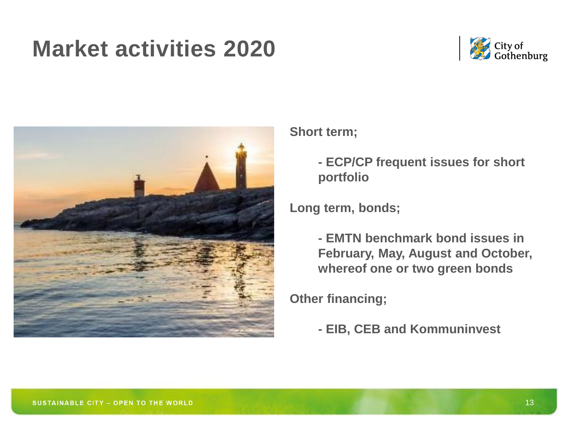## **Market activities 2020**





#### **Short term;**

**- ECP/CP frequent issues for short portfolio**

**Long term, bonds;**

**- EMTN benchmark bond issues in February, May, August and October, whereof one or two green bonds**

**Other financing;**

**- EIB, CEB and Kommuninvest**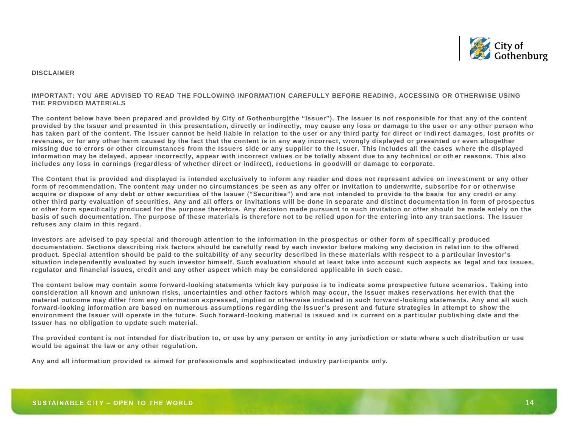

#### **DISCLAIMER**

#### **IMPORTANT: YOU ARE ADVISED TO READ THE FOLLOWING INFORMATION CAREFULLY BEFORE READING, ACCESSING OR OTHERWISE USING THE PROVIDED MATERIALS**

**The content below have been prepared and provided by City of Gothenburg(the "Issuer"). The Issuer is not responsible for that any of the content provided by the Issuer and presented in this presentation, directly or indirectly, may cause any loss or damage to the user o r any other person who has taken part of the content. The issuer cannot be held liable in relation to the user or any third party for direct or indi rect damages, lost profits or revenues, or for any other harm caused by the fact that the content is in any way incorrect, wrongly displayed or presented o r even altogether missing due to errors or other circumstances from the Issuers side or any supplier to the Issuer. This includes all the cases where the displayed**  information may be delayed, appear incorrectly, appear with incorrect values or be totally absent due to any technical or other reasons. This also **includes any loss in earnings (regardless of whether direct or indirect), reductions in goodwill or damage to corporate.**

**The Content that is provided and displayed is intended exclusively to inform any reader and does not represent advice on inve stment or any other form of recommendation. The content may under no circumstances be seen as any offer or invitation to underwrite, subscribe fo r or otherwise acquire or dispose of any debt or other securities of the Issuer ("Securities") and are not intended to provide to the basis for any credit or any other third party evaluation of securities. Any and all offers or invitations will be done in separate and distinct documenta tion in form of prospectus or other form specifically produced for the purpose therefore. Any decision made pursuant to such invitation or offer should be made solely on the basis of such documentation. The purpose of these materials is therefore not to be relied upon for the entering into any tran sactions. The Issuer refuses any claim in this regard.** 

**Investors are advised to pay special and thorough attention to the information in the prospectus or other form of specificall y produced documentation. Sections describing risk factors should be carefully read by each investor before making any decision in relat ion to the offered product. Special attention should be paid to the suitability of any security described in these materials with respect to a p articular investor's situation independently evaluated by such investor himself. Such evaluation should at least take into account such aspects as legal and tax issues, regulator and financial issues, credit and any other aspect which may be considered applicable in such case.** 

**The content below may contain some forward-looking statements which key purpose is to indicate some prospective future scenarios . Taking into consideration all known and unknown risks, uncertainties and other factors which may occur, the Issuer makes reservations her ewith that the material outcome may differ from any information expressed, implied or otherwise indicated in such forward -looking statements. Any and all such forward-looking information are based on numerous assumptions regarding the Issuer's present and future strategies in attempt to show the environment the Issuer will operate in the future. Such forward-looking material is issued and is current on a particular publishing date and the Issuer has no obligation to update such material.** 

**The provided content is not intended for distribution to, or use by any person or entity in any jurisdiction or state where s uch distribution or use would be against the law or any other regulation.**

**Any and all information provided is aimed for professionals and sophisticated industry participants only.**